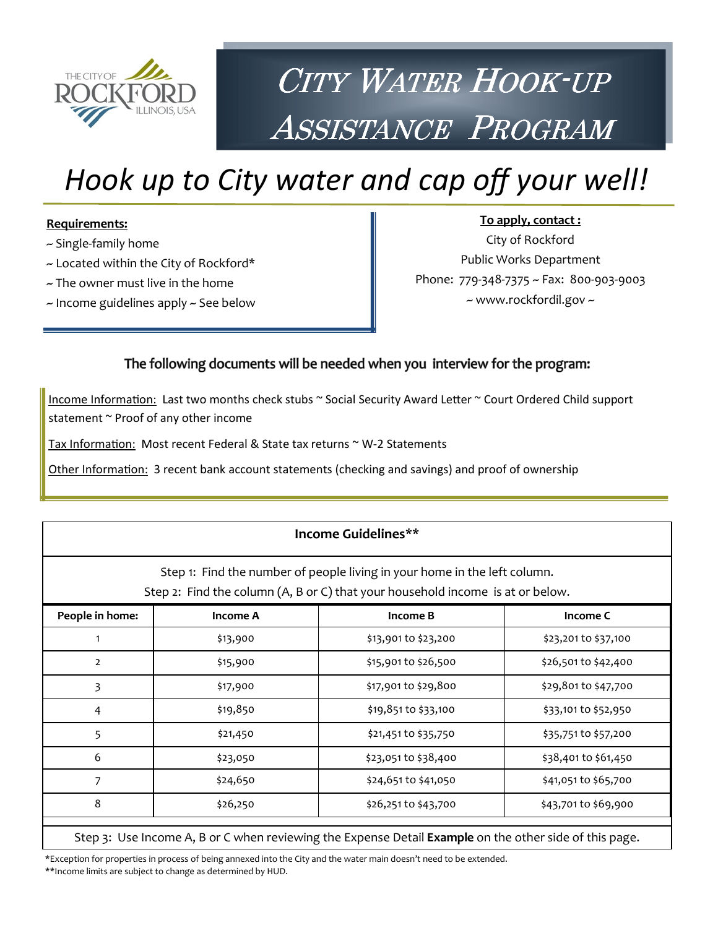

# CITY WATER HOOK-UP ASSISTANCE PROGRAM

# Hook up to City water and cap off your well!

#### Requirements:

- ~ Single-family home
- ~ Located within the City of Rockford\*
- $\sim$  The owner must live in the home
- ~ Income guidelines apply ~ See below

To apply, contact : City of Rockford Public Works Department Phone: 779-348-7375 ~ Fax: 800-903-9003 ~ www.rockfordil.gov ~

#### The following documents will be needed when you interview for the program:

Income Information: Last two months check stubs ~ Social Security Award Letter ~ Court Ordered Child support statement ~ Proof of any other income

Tax Information: Most recent Federal & State tax returns ~ W-2 Statements

Other Information: 3 recent bank account statements (checking and savings) and proof of ownership

| Income Guidelines**<br>Step 1: Find the number of people living in your home in the left column.<br>Step 2: Find the column (A, B or C) that your household income is at or below. |          |                      |                      |  |
|------------------------------------------------------------------------------------------------------------------------------------------------------------------------------------|----------|----------------------|----------------------|--|
| People in home:<br><b>Income A</b><br>Income B<br>Income C                                                                                                                         |          |                      |                      |  |
|                                                                                                                                                                                    | \$13,900 | \$13,901 to \$23,200 | \$23,201 to \$37,100 |  |
| $\overline{2}$                                                                                                                                                                     | \$15,900 | \$15,901 to \$26,500 | \$26,501 to \$42,400 |  |
| 3                                                                                                                                                                                  | \$17,900 | \$17,901 to \$29,800 | \$29,801 to \$47,700 |  |
| 4                                                                                                                                                                                  | \$19,850 | \$19,851 to \$33,100 | \$33,101 to \$52,950 |  |
| 5                                                                                                                                                                                  | \$21,450 | \$21,451 to \$35,750 | \$35,751 to \$57,200 |  |
| 6                                                                                                                                                                                  | \$23,050 | \$23,051 to \$38,400 | \$38,401 to \$61,450 |  |
| 7                                                                                                                                                                                  | \$24,650 | \$24,651 to \$41,050 | \$41,051 to \$65,700 |  |
| 8                                                                                                                                                                                  | \$26,250 | \$26,251 to \$43,700 | \$43,701 to \$69,900 |  |
| Step 3: Use Income A, B or C when reviewing the Expense Detail Example on the other side of this page.                                                                             |          |                      |                      |  |

\*Exception for properties in process of being annexed into the City and the water main doesn't need to be extended. \*\*Income limits are subject to change as determined by HUD.